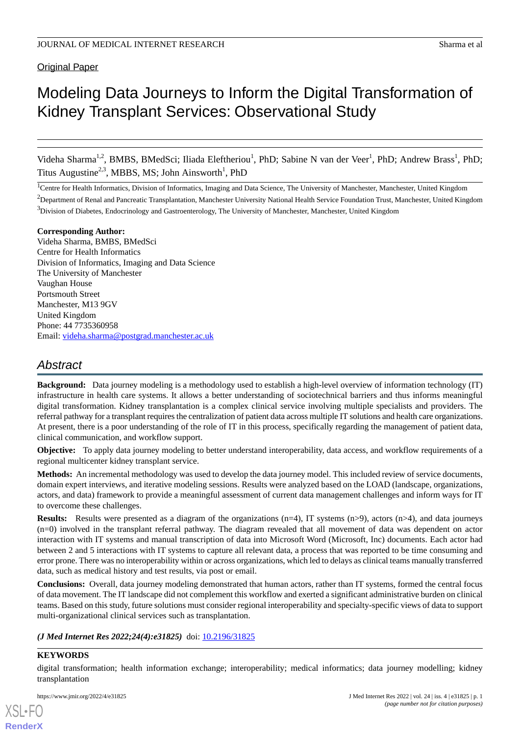## **Original Paper**

# Modeling Data Journeys to Inform the Digital Transformation of Kidney Transplant Services: Observational Study

Videha Sharma<sup>1,2</sup>, BMBS, BMedSci; Iliada Eleftheriou<sup>1</sup>, PhD; Sabine N van der Veer<sup>1</sup>, PhD; Andrew Brass<sup>1</sup>, PhD; Titus Augustine<sup>2,3</sup>, MBBS, MS; John Ainsworth<sup>1</sup>, PhD

<sup>1</sup>Centre for Health Informatics, Division of Informatics, Imaging and Data Science, The University of Manchester, Manchester, United Kingdom

<sup>2</sup>Department of Renal and Pancreatic Transplantation, Manchester University National Health Service Foundation Trust, Manchester, United Kingdom  $3$ Division of Diabetes, Endocrinology and Gastroenterology, The University of Manchester, Manchester, United Kingdom

#### **Corresponding Author:**

Videha Sharma, BMBS, BMedSci Centre for Health Informatics Division of Informatics, Imaging and Data Science The University of Manchester Vaughan House Portsmouth Street Manchester, M13 9GV United Kingdom Phone: 44 7735360958 Email: [videha.sharma@postgrad.manchester.ac.uk](mailto:videha.sharma@postgrad.manchester.ac.uk)

# *Abstract*

**Background:** Data journey modeling is a methodology used to establish a high-level overview of information technology (IT) infrastructure in health care systems. It allows a better understanding of sociotechnical barriers and thus informs meaningful digital transformation. Kidney transplantation is a complex clinical service involving multiple specialists and providers. The referral pathway for a transplant requires the centralization of patient data across multiple IT solutions and health care organizations. At present, there is a poor understanding of the role of IT in this process, specifically regarding the management of patient data, clinical communication, and workflow support.

**Objective:** To apply data journey modeling to better understand interoperability, data access, and workflow requirements of a regional multicenter kidney transplant service.

**Methods:** An incremental methodology was used to develop the data journey model. This included review of service documents, domain expert interviews, and iterative modeling sessions. Results were analyzed based on the LOAD (landscape, organizations, actors, and data) framework to provide a meaningful assessment of current data management challenges and inform ways for IT to overcome these challenges.

**Results:** Results were presented as a diagram of the organizations (n=4), IT systems (n>9), actors (n>4), and data journeys (n=0) involved in the transplant referral pathway. The diagram revealed that all movement of data was dependent on actor interaction with IT systems and manual transcription of data into Microsoft Word (Microsoft, Inc) documents. Each actor had between 2 and 5 interactions with IT systems to capture all relevant data, a process that was reported to be time consuming and error prone. There was no interoperability within or across organizations, which led to delays as clinical teams manually transferred data, such as medical history and test results, via post or email.

**Conclusions:** Overall, data journey modeling demonstrated that human actors, rather than IT systems, formed the central focus of data movement. The IT landscape did not complement this workflow and exerted a significant administrative burden on clinical teams. Based on this study, future solutions must consider regional interoperability and specialty-specific views of data to support multi-organizational clinical services such as transplantation.

## *(J Med Internet Res 2022;24(4):e31825)* doi:  $10.2196/31825$

## **KEYWORDS**

[XSL](http://www.w3.org/Style/XSL)•FO **[RenderX](http://www.renderx.com/)**

digital transformation; health information exchange; interoperability; medical informatics; data journey modelling; kidney transplantation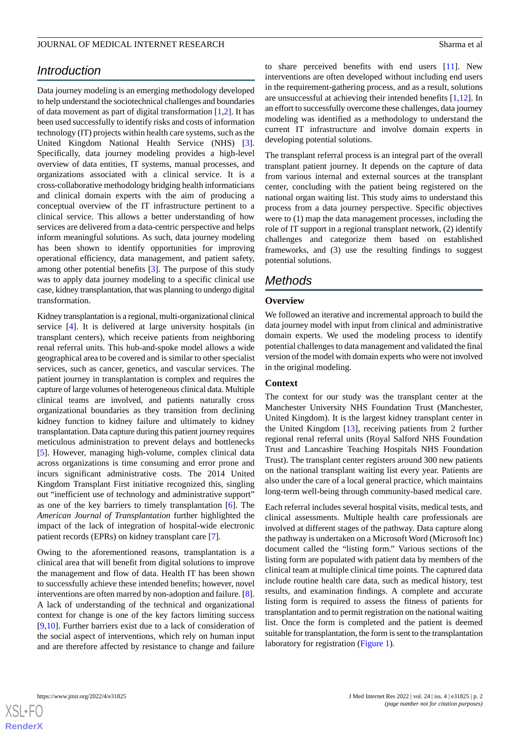# *Introduction*

Data journey modeling is an emerging methodology developed to help understand the sociotechnical challenges and boundaries of data movement as part of digital transformation [[1](#page-9-0)[,2\]](#page-9-1). It has been used successfully to identify risks and costs of information technology (IT) projects within health care systems, such as the United Kingdom National Health Service (NHS) [[3\]](#page-9-2). Specifically, data journey modeling provides a high-level overview of data entities, IT systems, manual processes, and organizations associated with a clinical service. It is a cross-collaborative methodology bridging health informaticians and clinical domain experts with the aim of producing a conceptual overview of the IT infrastructure pertinent to a clinical service. This allows a better understanding of how services are delivered from a data-centric perspective and helps inform meaningful solutions. As such, data journey modeling has been shown to identify opportunities for improving operational efficiency, data management, and patient safety, among other potential benefits [[3\]](#page-9-2). The purpose of this study was to apply data journey modeling to a specific clinical use case, kidney transplantation, that was planning to undergo digital transformation.

Kidney transplantation is a regional, multi-organizational clinical service [\[4](#page-9-3)]. It is delivered at large university hospitals (in transplant centers), which receive patients from neighboring renal referral units. This hub-and-spoke model allows a wide geographical area to be covered and is similar to other specialist services, such as cancer, genetics, and vascular services. The patient journey in transplantation is complex and requires the capture of large volumes of heterogeneous clinical data. Multiple clinical teams are involved, and patients naturally cross organizational boundaries as they transition from declining kidney function to kidney failure and ultimately to kidney transplantation. Data capture during this patient journey requires meticulous administration to prevent delays and bottlenecks [[5\]](#page-9-4). However, managing high-volume, complex clinical data across organizations is time consuming and error prone and incurs significant administrative costs. The 2014 United Kingdom Transplant First initiative recognized this, singling out "inefficient use of technology and administrative support" as one of the key barriers to timely transplantation [\[6](#page-9-5)]. The *American Journal of Transplantation* further highlighted the impact of the lack of integration of hospital-wide electronic patient records (EPRs) on kidney transplant care [\[7](#page-9-6)].

Owing to the aforementioned reasons, transplantation is a clinical area that will benefit from digital solutions to improve the management and flow of data. Health IT has been shown to successfully achieve these intended benefits; however, novel interventions are often marred by non-adoption and failure. [[8\]](#page-9-7). A lack of understanding of the technical and organizational context for change is one of the key factors limiting success [[9](#page-9-8)[,10](#page-9-9)]. Further barriers exist due to a lack of consideration of the social aspect of interventions, which rely on human input and are therefore affected by resistance to change and failure

to share perceived benefits with end users [[11\]](#page-9-10). New interventions are often developed without including end users in the requirement-gathering process, and as a result, solutions are unsuccessful at achieving their intended benefits  $[1,12]$  $[1,12]$  $[1,12]$ . In an effort to successfully overcome these challenges, data journey modeling was identified as a methodology to understand the current IT infrastructure and involve domain experts in developing potential solutions.

The transplant referral process is an integral part of the overall transplant patient journey. It depends on the capture of data from various internal and external sources at the transplant center, concluding with the patient being registered on the national organ waiting list. This study aims to understand this process from a data journey perspective. Specific objectives were to (1) map the data management processes, including the role of IT support in a regional transplant network, (2) identify challenges and categorize them based on established frameworks, and (3) use the resulting findings to suggest potential solutions.

# *Methods*

## **Overview**

We followed an iterative and incremental approach to build the data journey model with input from clinical and administrative domain experts. We used the modeling process to identify potential challenges to data management and validated the final version of the model with domain experts who were not involved in the original modeling.

## **Context**

The context for our study was the transplant center at the Manchester University NHS Foundation Trust (Manchester, United Kingdom). It is the largest kidney transplant center in the United Kingdom [[13\]](#page-9-12), receiving patients from 2 further regional renal referral units (Royal Salford NHS Foundation Trust and Lancashire Teaching Hospitals NHS Foundation Trust). The transplant center registers around 300 new patients on the national transplant waiting list every year. Patients are also under the care of a local general practice, which maintains long-term well-being through community-based medical care.

Each referral includes several hospital visits, medical tests, and clinical assessments. Multiple health care professionals are involved at different stages of the pathway. Data capture along the pathway is undertaken on a Microsoft Word (Microsoft Inc) document called the "listing form." Various sections of the listing form are populated with patient data by members of the clinical team at multiple clinical time points. The captured data include routine health care data, such as medical history, test results, and examination findings. A complete and accurate listing form is required to assess the fitness of patients for transplantation and to permit registration on the national waiting list. Once the form is completed and the patient is deemed suitable for transplantation, the form is sent to the transplantation laboratory for registration ([Figure 1](#page-2-0)).

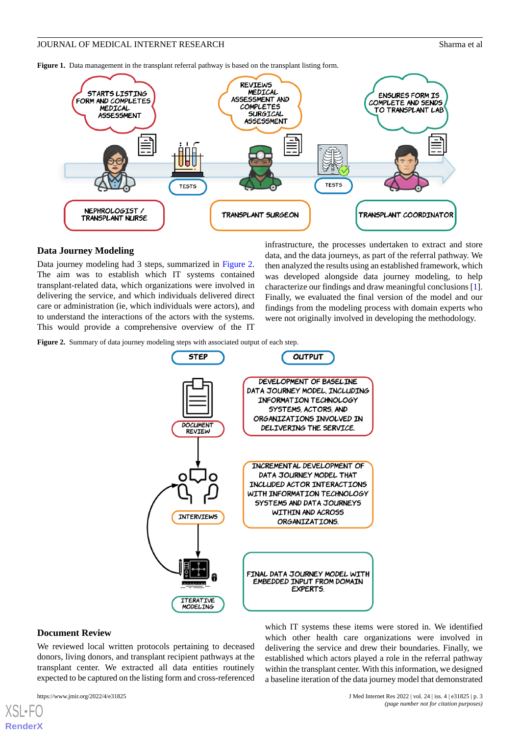<span id="page-2-0"></span>**Figure 1.** Data management in the transplant referral pathway is based on the transplant listing form.



## **Data Journey Modeling**

Data journey modeling had 3 steps, summarized in [Figure 2](#page-2-1). The aim was to establish which IT systems contained transplant-related data, which organizations were involved in delivering the service, and which individuals delivered direct care or administration (ie, which individuals were actors), and to understand the interactions of the actors with the systems. This would provide a comprehensive overview of the IT

infrastructure, the processes undertaken to extract and store data, and the data journeys, as part of the referral pathway. We then analyzed the results using an established framework, which was developed alongside data journey modeling, to help characterize our findings and draw meaningful conclusions [[1\]](#page-9-0). Finally, we evaluated the final version of the model and our findings from the modeling process with domain experts who were not originally involved in developing the methodology.

<span id="page-2-1"></span>Figure 2. Summary of data journey modeling steps with associated output of each step.



#### **Document Review**

We reviewed local written protocols pertaining to deceased donors, living donors, and transplant recipient pathways at the transplant center. We extracted all data entities routinely expected to be captured on the listing form and cross-referenced

[XSL](http://www.w3.org/Style/XSL)•FO **[RenderX](http://www.renderx.com/)**

https://www.jmir.org/2022/4/e31825 J Med Internet Res 2022 | vol. 24 | iss. 4 | e31825 | p. 3 *(page number not for citation purposes)*

which IT systems these items were stored in. We identified which other health care organizations were involved in delivering the service and drew their boundaries. Finally, we established which actors played a role in the referral pathway within the transplant center. With this information, we designed a baseline iteration of the data journey model that demonstrated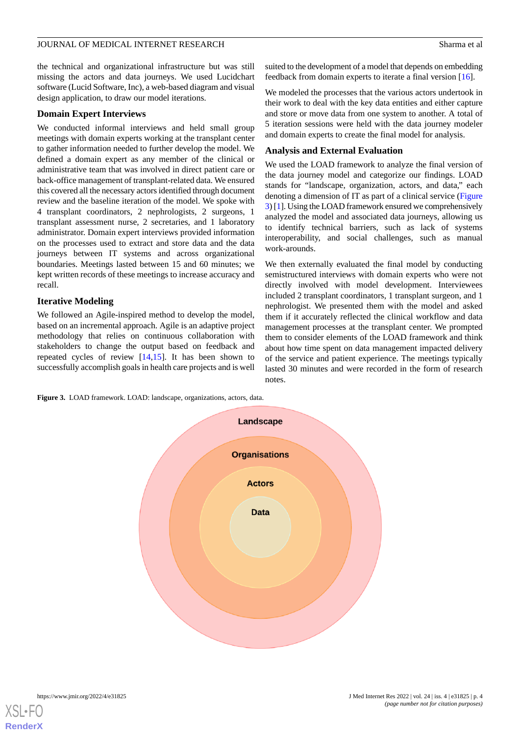the technical and organizational infrastructure but was still missing the actors and data journeys. We used Lucidchart software (Lucid Software, Inc), a web-based diagram and visual design application, to draw our model iterations.

#### **Domain Expert Interviews**

We conducted informal interviews and held small group meetings with domain experts working at the transplant center to gather information needed to further develop the model. We defined a domain expert as any member of the clinical or administrative team that was involved in direct patient care or back-office management of transplant-related data. We ensured this covered all the necessary actors identified through document review and the baseline iteration of the model. We spoke with 4 transplant coordinators, 2 nephrologists, 2 surgeons, 1 transplant assessment nurse, 2 secretaries, and 1 laboratory administrator. Domain expert interviews provided information on the processes used to extract and store data and the data journeys between IT systems and across organizational boundaries. Meetings lasted between 15 and 60 minutes; we kept written records of these meetings to increase accuracy and recall.

## **Iterative Modeling**

We followed an Agile-inspired method to develop the model, based on an incremental approach. Agile is an adaptive project methodology that relies on continuous collaboration with stakeholders to change the output based on feedback and repeated cycles of review [[14,](#page-9-13)[15](#page-9-14)]. It has been shown to successfully accomplish goals in health care projects and is well suited to the development of a model that depends on embedding feedback from domain experts to iterate a final version [\[16](#page-9-15)].

We modeled the processes that the various actors undertook in their work to deal with the key data entities and either capture and store or move data from one system to another. A total of 5 iteration sessions were held with the data journey modeler and domain experts to create the final model for analysis.

## **Analysis and External Evaluation**

We used the LOAD framework to analyze the final version of the data journey model and categorize our findings. LOAD stands for "landscape, organization, actors, and data," each denoting a dimension of IT as part of a clinical service ([Figure](#page-3-0) [3](#page-3-0)) [[1\]](#page-9-0). Using the LOAD framework ensured we comprehensively analyzed the model and associated data journeys, allowing us to identify technical barriers, such as lack of systems interoperability, and social challenges, such as manual work-arounds.

We then externally evaluated the final model by conducting semistructured interviews with domain experts who were not directly involved with model development. Interviewees included 2 transplant coordinators, 1 transplant surgeon, and 1 nephrologist. We presented them with the model and asked them if it accurately reflected the clinical workflow and data management processes at the transplant center. We prompted them to consider elements of the LOAD framework and think about how time spent on data management impacted delivery of the service and patient experience. The meetings typically lasted 30 minutes and were recorded in the form of research notes.

<span id="page-3-0"></span>**Figure 3.** LOAD framework. LOAD: landscape, organizations, actors, data.



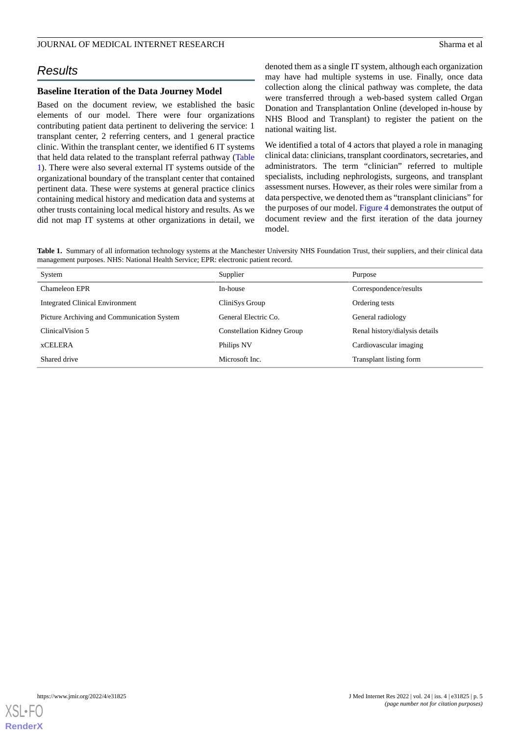# *Results*

## **Baseline Iteration of the Data Journey Model**

Based on the document review, we established the basic elements of our model. There were four organizations contributing patient data pertinent to delivering the service: 1 transplant center, 2 referring centers, and 1 general practice clinic. Within the transplant center, we identified 6 IT systems that held data related to the transplant referral pathway ([Table](#page-4-0) [1\)](#page-4-0). There were also several external IT systems outside of the organizational boundary of the transplant center that contained pertinent data. These were systems at general practice clinics containing medical history and medication data and systems at other trusts containing local medical history and results. As we did not map IT systems at other organizations in detail, we

denoted them as a single IT system, although each organization may have had multiple systems in use. Finally, once data collection along the clinical pathway was complete, the data were transferred through a web-based system called Organ Donation and Transplantation Online (developed in-house by NHS Blood and Transplant) to register the patient on the national waiting list.

We identified a total of 4 actors that played a role in managing clinical data: clinicians, transplant coordinators, secretaries, and administrators. The term "clinician" referred to multiple specialists, including nephrologists, surgeons, and transplant assessment nurses. However, as their roles were similar from a data perspective, we denoted them as "transplant clinicians" for the purposes of our model. [Figure 4](#page-5-0) demonstrates the output of document review and the first iteration of the data journey model.

<span id="page-4-0"></span>**Table 1.** Summary of all information technology systems at the Manchester University NHS Foundation Trust, their suppliers, and their clinical data management purposes. NHS: National Health Service; EPR: electronic patient record.

| System                                     | Supplier                          | Purpose                        |
|--------------------------------------------|-----------------------------------|--------------------------------|
| Chameleon EPR                              | In-house                          | Correspondence/results         |
| <b>Integrated Clinical Environment</b>     | CliniSys Group                    | Ordering tests                 |
| Picture Archiving and Communication System | General Electric Co.              | General radiology              |
| ClinicalVision 5                           | <b>Constellation Kidney Group</b> | Renal history/dialysis details |
| <b><i>xCELERA</i></b>                      | Philips NV                        | Cardiovascular imaging         |
| Shared drive                               | Microsoft Inc.                    | Transplant listing form        |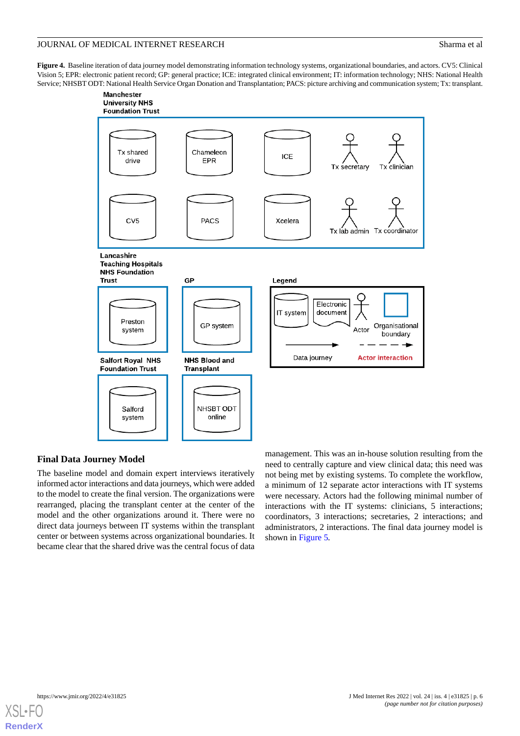<span id="page-5-0"></span>**Figure 4.** Baseline iteration of data journey model demonstrating information technology systems, organizational boundaries, and actors. CV5: Clinical Vision 5; EPR: electronic patient record; GP: general practice; ICE: integrated clinical environment; IT: information technology; NHS: National Health Service; NHSBT ODT: National Health Service Organ Donation and Transplantation; PACS: picture archiving and communication system; Tx: transplant.



## **Final Data Journey Model**

The baseline model and domain expert interviews iteratively informed actor interactions and data journeys, which were added to the model to create the final version. The organizations were rearranged, placing the transplant center at the center of the model and the other organizations around it. There were no direct data journeys between IT systems within the transplant center or between systems across organizational boundaries. It became clear that the shared drive was the central focus of data

management. This was an in-house solution resulting from the need to centrally capture and view clinical data; this need was not being met by existing systems. To complete the workflow, a minimum of 12 separate actor interactions with IT systems were necessary. Actors had the following minimal number of interactions with the IT systems: clinicians, 5 interactions; coordinators, 3 interactions; secretaries, 2 interactions; and administrators, 2 interactions. The final data journey model is shown in [Figure 5](#page-6-0)*.*

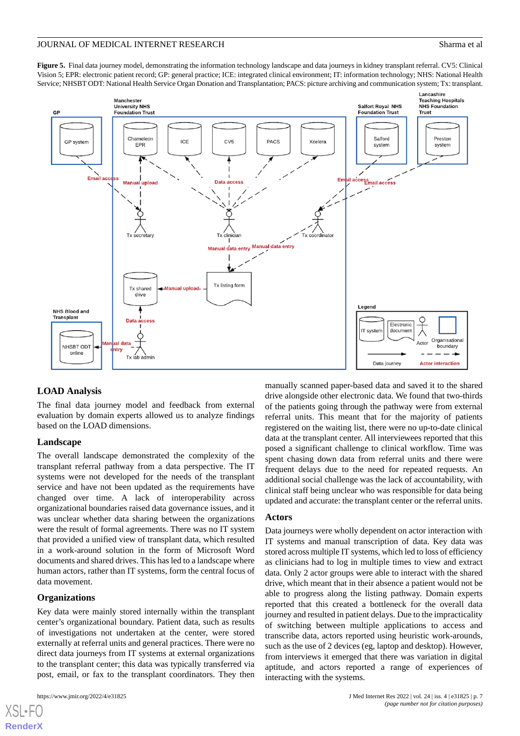<span id="page-6-0"></span>**Figure 5.** Final data journey model, demonstrating the information technology landscape and data journeys in kidney transplant referral. CV5: Clinical Vision 5; EPR: electronic patient record; GP: general practice; ICE: integrated clinical environment; IT: information technology; NHS: National Health Service; NHSBT ODT: National Health Service Organ Donation and Transplantation; PACS: picture archiving and communication system; Tx: transplant.



## **LOAD Analysis**

The final data journey model and feedback from external evaluation by domain experts allowed us to analyze findings based on the LOAD dimensions.

#### **Landscape**

The overall landscape demonstrated the complexity of the transplant referral pathway from a data perspective. The IT systems were not developed for the needs of the transplant service and have not been updated as the requirements have changed over time. A lack of interoperability across organizational boundaries raised data governance issues, and it was unclear whether data sharing between the organizations were the result of formal agreements. There was no IT system that provided a unified view of transplant data, which resulted in a work-around solution in the form of Microsoft Word documents and shared drives. This has led to a landscape where human actors, rather than IT systems, form the central focus of data movement.

#### **Organizations**

Key data were mainly stored internally within the transplant center's organizational boundary. Patient data, such as results of investigations not undertaken at the center, were stored externally at referral units and general practices. There were no direct data journeys from IT systems at external organizations to the transplant center; this data was typically transferred via post, email, or fax to the transplant coordinators. They then

[XSL](http://www.w3.org/Style/XSL)•FO **[RenderX](http://www.renderx.com/)**

manually scanned paper-based data and saved it to the shared drive alongside other electronic data. We found that two-thirds of the patients going through the pathway were from external referral units. This meant that for the majority of patients registered on the waiting list, there were no up-to-date clinical data at the transplant center. All interviewees reported that this posed a significant challenge to clinical workflow. Time was spent chasing down data from referral units and there were frequent delays due to the need for repeated requests. An additional social challenge was the lack of accountability, with clinical staff being unclear who was responsible for data being updated and accurate: the transplant center or the referral units.

#### **Actors**

Data journeys were wholly dependent on actor interaction with IT systems and manual transcription of data. Key data was stored across multiple IT systems, which led to loss of efficiency as clinicians had to log in multiple times to view and extract data. Only 2 actor groups were able to interact with the shared drive, which meant that in their absence a patient would not be able to progress along the listing pathway. Domain experts reported that this created a bottleneck for the overall data journey and resulted in patient delays. Due to the impracticality of switching between multiple applications to access and transcribe data, actors reported using heuristic work-arounds, such as the use of 2 devices (eg, laptop and desktop). However, from interviews it emerged that there was variation in digital aptitude, and actors reported a range of experiences of interacting with the systems.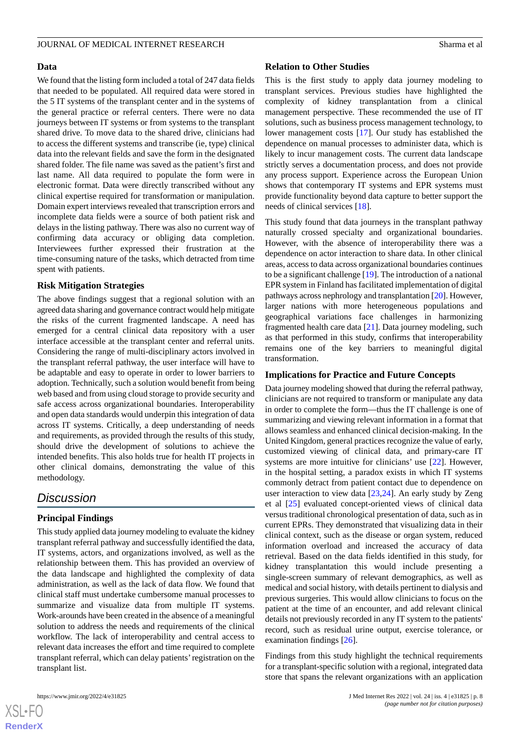#### **Data**

We found that the listing form included a total of 247 data fields that needed to be populated. All required data were stored in the 5 IT systems of the transplant center and in the systems of the general practice or referral centers. There were no data journeys between IT systems or from systems to the transplant shared drive. To move data to the shared drive, clinicians had to access the different systems and transcribe (ie, type) clinical data into the relevant fields and save the form in the designated shared folder. The file name was saved as the patient's first and last name. All data required to populate the form were in electronic format. Data were directly transcribed without any clinical expertise required for transformation or manipulation. Domain expert interviews revealed that transcription errors and incomplete data fields were a source of both patient risk and delays in the listing pathway. There was also no current way of confirming data accuracy or obliging data completion. Interviewees further expressed their frustration at the time-consuming nature of the tasks, which detracted from time spent with patients.

## **Risk Mitigation Strategies**

The above findings suggest that a regional solution with an agreed data sharing and governance contract would help mitigate the risks of the current fragmented landscape. A need has emerged for a central clinical data repository with a user interface accessible at the transplant center and referral units. Considering the range of multi-disciplinary actors involved in the transplant referral pathway, the user interface will have to be adaptable and easy to operate in order to lower barriers to adoption. Technically, such a solution would benefit from being web based and from using cloud storage to provide security and safe access across organizational boundaries. Interoperability and open data standards would underpin this integration of data across IT systems. Critically, a deep understanding of needs and requirements, as provided through the results of this study, should drive the development of solutions to achieve the intended benefits. This also holds true for health IT projects in other clinical domains, demonstrating the value of this methodology.

## *Discussion*

## **Principal Findings**

This study applied data journey modeling to evaluate the kidney transplant referral pathway and successfully identified the data, IT systems, actors, and organizations involved, as well as the relationship between them. This has provided an overview of the data landscape and highlighted the complexity of data administration, as well as the lack of data flow. We found that clinical staff must undertake cumbersome manual processes to summarize and visualize data from multiple IT systems. Work-arounds have been created in the absence of a meaningful solution to address the needs and requirements of the clinical workflow. The lack of interoperability and central access to relevant data increases the effort and time required to complete transplant referral, which can delay patients'registration on the transplant list.

#### **Relation to Other Studies**

This is the first study to apply data journey modeling to transplant services. Previous studies have highlighted the complexity of kidney transplantation from a clinical management perspective. These recommended the use of IT solutions, such as business process management technology, to lower management costs [[17\]](#page-9-16). Our study has established the dependence on manual processes to administer data, which is likely to incur management costs. The current data landscape strictly serves a documentation process, and does not provide any process support. Experience across the European Union shows that contemporary IT systems and EPR systems must provide functionality beyond data capture to better support the needs of clinical services [[18\]](#page-10-0).

This study found that data journeys in the transplant pathway naturally crossed specialty and organizational boundaries. However, with the absence of interoperability there was a dependence on actor interaction to share data. In other clinical areas, access to data across organizational boundaries continues to be a significant challenge [\[19](#page-10-1)]. The introduction of a national EPR system in Finland has facilitated implementation of digital pathways across nephrology and transplantation [\[20](#page-10-2)]. However, larger nations with more heterogeneous populations and geographical variations face challenges in harmonizing fragmented health care data [[21\]](#page-10-3). Data journey modeling, such as that performed in this study, confirms that interoperability remains one of the key barriers to meaningful digital transformation.

#### **Implications for Practice and Future Concepts**

Data journey modeling showed that during the referral pathway, clinicians are not required to transform or manipulate any data in order to complete the form—thus the IT challenge is one of summarizing and viewing relevant information in a format that allows seamless and enhanced clinical decision-making. In the United Kingdom, general practices recognize the value of early, customized viewing of clinical data, and primary-care IT systems are more intuitive for clinicians' use [\[22](#page-10-4)]. However, in the hospital setting, a paradox exists in which IT systems commonly detract from patient contact due to dependence on user interaction to view data [\[23](#page-10-5),[24\]](#page-10-6). An early study by Zeng et al [\[25](#page-10-7)] evaluated concept-oriented views of clinical data versus traditional chronological presentation of data, such as in current EPRs. They demonstrated that visualizing data in their clinical context, such as the disease or organ system, reduced information overload and increased the accuracy of data retrieval. Based on the data fields identified in this study, for kidney transplantation this would include presenting a single-screen summary of relevant demographics, as well as medical and social history, with details pertinent to dialysis and previous surgeries. This would allow clinicians to focus on the patient at the time of an encounter, and add relevant clinical details not previously recorded in any IT system to the patients' record, such as residual urine output, exercise tolerance, or examination findings [[26\]](#page-10-8).

Findings from this study highlight the technical requirements for a transplant-specific solution with a regional, integrated data store that spans the relevant organizations with an application

```
XS\cdotFC
RenderX
```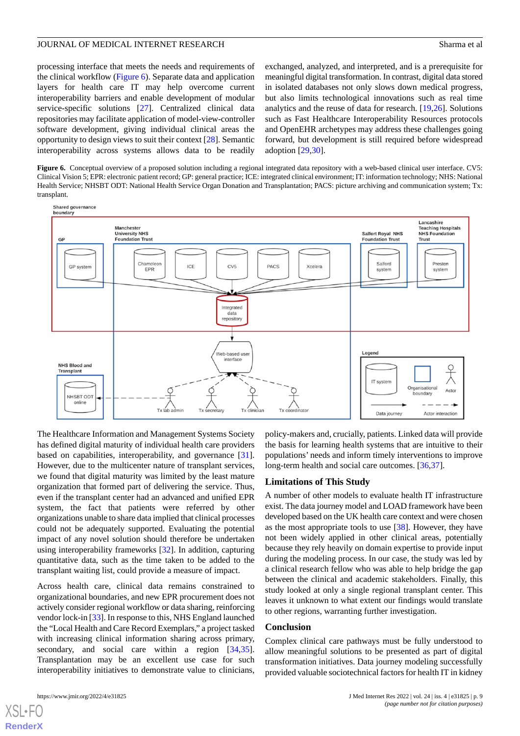processing interface that meets the needs and requirements of the clinical workflow [\(Figure 6](#page-8-0)). Separate data and application layers for health care IT may help overcome current interoperability barriers and enable development of modular service-specific solutions [\[27](#page-10-9)]. Centralized clinical data repositories may facilitate application of model-view-controller software development, giving individual clinical areas the opportunity to design views to suit their context [\[28](#page-10-10)]. Semantic interoperability across systems allows data to be readily exchanged, analyzed, and interpreted, and is a prerequisite for meaningful digital transformation. In contrast, digital data stored in isolated databases not only slows down medical progress, but also limits technological innovations such as real time analytics and the reuse of data for research. [[19](#page-10-1)[,26](#page-10-8)]. Solutions such as Fast Healthcare Interoperability Resources protocols and OpenEHR archetypes may address these challenges going forward, but development is still required before widespread adoption [\[29](#page-10-11),[30\]](#page-10-12).

<span id="page-8-0"></span>Figure 6. Conceptual overview of a proposed solution including a regional integrated data repository with a web-based clinical user interface. CV5: Clinical Vision 5; EPR: electronic patient record; GP: general practice; ICE: integrated clinical environment; IT: information technology; NHS: National Health Service; NHSBT ODT: National Health Service Organ Donation and Transplantation; PACS: picture archiving and communication system; Tx: transplant.



The Healthcare Information and Management Systems Society has defined digital maturity of individual health care providers based on capabilities, interoperability, and governance [[31\]](#page-10-13). However, due to the multicenter nature of transplant services, we found that digital maturity was limited by the least mature organization that formed part of delivering the service. Thus, even if the transplant center had an advanced and unified EPR system, the fact that patients were referred by other organizations unable to share data implied that clinical processes could not be adequately supported. Evaluating the potential impact of any novel solution should therefore be undertaken using interoperability frameworks [[32\]](#page-10-14). In addition, capturing quantitative data, such as the time taken to be added to the transplant waiting list, could provide a measure of impact.

Across health care, clinical data remains constrained to organizational boundaries, and new EPR procurement does not actively consider regional workflow or data sharing, reinforcing vendor lock-in [[33\]](#page-10-15). In response to this, NHS England launched the "Local Health and Care Record Exemplars," a project tasked with increasing clinical information sharing across primary, secondary, and social care within a region [\[34](#page-10-16),[35\]](#page-10-17). Transplantation may be an excellent use case for such interoperability initiatives to demonstrate value to clinicians,

[XSL](http://www.w3.org/Style/XSL)•FO **[RenderX](http://www.renderx.com/)**

policy-makers and, crucially, patients. Linked data will provide the basis for learning health systems that are intuitive to their populations' needs and inform timely interventions to improve long-term health and social care outcomes. [\[36](#page-10-18),[37\]](#page-10-19).

#### **Limitations of This Study**

A number of other models to evaluate health IT infrastructure exist. The data journey model and LOAD framework have been developed based on the UK health care context and were chosen as the most appropriate tools to use [\[38](#page-10-20)]. However, they have not been widely applied in other clinical areas, potentially because they rely heavily on domain expertise to provide input during the modeling process. In our case, the study was led by a clinical research fellow who was able to help bridge the gap between the clinical and academic stakeholders. Finally, this study looked at only a single regional transplant center. This leaves it unknown to what extent our findings would translate to other regions, warranting further investigation.

#### **Conclusion**

Complex clinical care pathways must be fully understood to allow meaningful solutions to be presented as part of digital transformation initiatives. Data journey modeling successfully provided valuable sociotechnical factors for health IT in kidney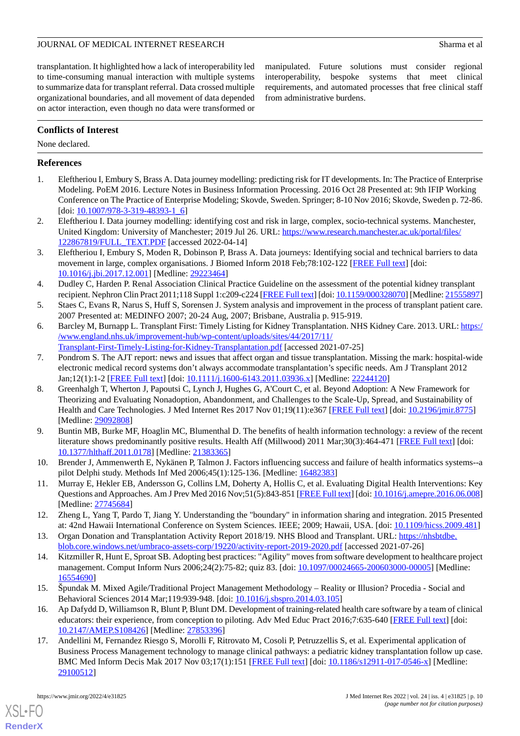## JOURNAL OF MEDICAL INTERNET RESEARCH Sharma et al

manipulated. Future solutions must consider regional interoperability, bespoke systems that meet clinical requirements, and automated processes that free clinical staff

from administrative burdens.

transplantation. It highlighted how a lack of interoperability led to time-consuming manual interaction with multiple systems to summarize data for transplant referral. Data crossed multiple organizational boundaries, and all movement of data depended on actor interaction, even though no data were transformed or

**Conflicts of Interest**

None declared.

## <span id="page-9-0"></span>**References**

- <span id="page-9-1"></span>1. Eleftheriou I, Embury S, Brass A. Data journey modelling: predicting risk for IT developments. In: The Practice of Enterprise Modeling. PoEM 2016. Lecture Notes in Business Information Processing. 2016 Oct 28 Presented at: 9th IFIP Working Conference on The Practice of Enterprise Modeling; Skovde, Sweden. Springer; 8-10 Nov 2016; Skovde, Sweden p. 72-86. [doi: [10.1007/978-3-319-48393-1\\_6\]](http://dx.doi.org/10.1007/978-3-319-48393-1_6)
- <span id="page-9-2"></span>2. Eleftheriou I. Data journey modelling: identifying cost and risk in large, complex, socio-technical systems. Manchester, United Kingdom: University of Manchester; 2019 Jul 26. URL: [https://www.research.manchester.ac.uk/portal/files/](https://www.research.manchester.ac.uk/portal/files/122867819/FULL_TEXT.PDF) [122867819/FULL\\_TEXT.PDF](https://www.research.manchester.ac.uk/portal/files/122867819/FULL_TEXT.PDF) [accessed 2022-04-14]
- <span id="page-9-3"></span>3. Eleftheriou I, Embury S, Moden R, Dobinson P, Brass A. Data journeys: Identifying social and technical barriers to data movement in large, complex organisations. J Biomed Inform 2018 Feb;78:102-122 [[FREE Full text](https://linkinghub.elsevier.com/retrieve/pii/S1532-0464(17)30271-X)] [doi: [10.1016/j.jbi.2017.12.001](http://dx.doi.org/10.1016/j.jbi.2017.12.001)] [Medline: [29223464\]](http://www.ncbi.nlm.nih.gov/entrez/query.fcgi?cmd=Retrieve&db=PubMed&list_uids=29223464&dopt=Abstract)
- <span id="page-9-4"></span>4. Dudley C, Harden P. Renal Association Clinical Practice Guideline on the assessment of the potential kidney transplant recipient. Nephron Clin Pract 2011;118 Suppl 1:c209-c224 [\[FREE Full text](https://www.karger.com?DOI=10.1159/000328070)] [doi: [10.1159/000328070](http://dx.doi.org/10.1159/000328070)] [Medline: [21555897\]](http://www.ncbi.nlm.nih.gov/entrez/query.fcgi?cmd=Retrieve&db=PubMed&list_uids=21555897&dopt=Abstract)
- <span id="page-9-5"></span>5. Staes C, Evans R, Narus S, Huff S, Sorensen J. System analysis and improvement in the process of transplant patient care. 2007 Presented at: MEDINFO 2007; 20-24 Aug, 2007; Brisbane, Australia p. 915-919.
- <span id="page-9-6"></span>6. Barcley M, Burnapp L. Transplant First: Timely Listing for Kidney Transplantation. NHS Kidney Care. 2013. URL: [https:/](https://www.england.nhs.uk/improvement-hub/wp-content/uploads/sites/44/2017/11/Transplant-First-Timely-Listing-for-Kidney-Transplantation.pdf) [/www.england.nhs.uk/improvement-hub/wp-content/uploads/sites/44/2017/11/](https://www.england.nhs.uk/improvement-hub/wp-content/uploads/sites/44/2017/11/Transplant-First-Timely-Listing-for-Kidney-Transplantation.pdf) [Transplant-First-Timely-Listing-for-Kidney-Transplantation.pdf](https://www.england.nhs.uk/improvement-hub/wp-content/uploads/sites/44/2017/11/Transplant-First-Timely-Listing-for-Kidney-Transplantation.pdf) [accessed 2021-07-25]
- <span id="page-9-7"></span>7. Pondrom S. The AJT report: news and issues that affect organ and tissue transplantation. Missing the mark: hospital-wide electronic medical record systems don't always accommodate transplantation's specific needs. Am J Transplant 2012 Jan;12(1):1-2 [\[FREE Full text\]](https://doi.org/10.1111/j.1600-6143.2011.03936.x) [doi: [10.1111/j.1600-6143.2011.03936.x](http://dx.doi.org/10.1111/j.1600-6143.2011.03936.x)] [Medline: [22244120](http://www.ncbi.nlm.nih.gov/entrez/query.fcgi?cmd=Retrieve&db=PubMed&list_uids=22244120&dopt=Abstract)]
- <span id="page-9-8"></span>8. Greenhalgh T, Wherton J, Papoutsi C, Lynch J, Hughes G, A'Court C, et al. Beyond Adoption: A New Framework for Theorizing and Evaluating Nonadoption, Abandonment, and Challenges to the Scale-Up, Spread, and Sustainability of Health and Care Technologies. J Med Internet Res 2017 Nov 01;19(11):e367 [\[FREE Full text](https://doi.org/10.2196/jmir.8775)] [doi: [10.2196/jmir.8775\]](http://dx.doi.org/10.2196/jmir.8775) [Medline: [29092808](http://www.ncbi.nlm.nih.gov/entrez/query.fcgi?cmd=Retrieve&db=PubMed&list_uids=29092808&dopt=Abstract)]
- <span id="page-9-10"></span><span id="page-9-9"></span>9. Buntin MB, Burke MF, Hoaglin MC, Blumenthal D. The benefits of health information technology: a review of the recent literature shows predominantly positive results. Health Aff (Millwood) 2011 Mar;30(3):464-471 [\[FREE Full text\]](http://content.healthaffairs.org/cgi/pmidlookup?view=long&pmid=21383365) [doi: [10.1377/hlthaff.2011.0178](http://dx.doi.org/10.1377/hlthaff.2011.0178)] [Medline: [21383365\]](http://www.ncbi.nlm.nih.gov/entrez/query.fcgi?cmd=Retrieve&db=PubMed&list_uids=21383365&dopt=Abstract)
- <span id="page-9-11"></span>10. Brender J, Ammenwerth E, Nykänen P, Talmon J. Factors influencing success and failure of health informatics systems--a pilot Delphi study. Methods Inf Med 2006;45(1):125-136. [Medline: [16482383](http://www.ncbi.nlm.nih.gov/entrez/query.fcgi?cmd=Retrieve&db=PubMed&list_uids=16482383&dopt=Abstract)]
- <span id="page-9-12"></span>11. Murray E, Hekler EB, Andersson G, Collins LM, Doherty A, Hollis C, et al. Evaluating Digital Health Interventions: Key Questions and Approaches. Am J Prev Med 2016 Nov;51(5):843-851 [\[FREE Full text](http://europepmc.org/abstract/MED/27745684)] [doi: [10.1016/j.amepre.2016.06.008\]](http://dx.doi.org/10.1016/j.amepre.2016.06.008) [Medline: [27745684](http://www.ncbi.nlm.nih.gov/entrez/query.fcgi?cmd=Retrieve&db=PubMed&list_uids=27745684&dopt=Abstract)]
- <span id="page-9-13"></span>12. Zheng L, Yang T, Pardo T, Jiang Y. Understanding the "boundary" in information sharing and integration. 2015 Presented at: 42nd Hawaii International Conference on System Sciences. IEEE; 2009; Hawaii, USA. [doi: [10.1109/hicss.2009.481\]](http://dx.doi.org/10.1109/hicss.2009.481)
- <span id="page-9-14"></span>13. Organ Donation and Transplantation Activity Report 2018/19. NHS Blood and Transplant. URL: [https://nhsbtdbe.](https://nhsbtdbe.blob.core.windows.net/umbraco-assets-corp/19220/activity-report-2019-2020.pdf) [blob.core.windows.net/umbraco-assets-corp/19220/activity-report-2019-2020.pdf](https://nhsbtdbe.blob.core.windows.net/umbraco-assets-corp/19220/activity-report-2019-2020.pdf) [accessed 2021-07-26]
- <span id="page-9-15"></span>14. Kitzmiller R, Hunt E, Sproat SB. Adopting best practices: "Agility" moves from software development to healthcare project management. Comput Inform Nurs 2006;24(2):75-82; quiz 83. [doi: [10.1097/00024665-200603000-00005](http://dx.doi.org/10.1097/00024665-200603000-00005)] [Medline: [16554690](http://www.ncbi.nlm.nih.gov/entrez/query.fcgi?cmd=Retrieve&db=PubMed&list_uids=16554690&dopt=Abstract)]
- <span id="page-9-16"></span>15. Špundak M. Mixed Agile/Traditional Project Management Methodology – Reality or Illusion? Procedia - Social and Behavioral Sciences 2014 Mar;119:939-948. [doi: [10.1016/j.sbspro.2014.03.105\]](http://dx.doi.org/10.1016/j.sbspro.2014.03.105)
- 16. Ap Dafydd D, Williamson R, Blunt P, Blunt DM. Development of training-related health care software by a team of clinical educators: their experience, from conception to piloting. Adv Med Educ Pract 2016;7:635-640 [\[FREE Full text\]](https://dx.doi.org/10.2147/AMEP.S108426) [doi: [10.2147/AMEP.S108426](http://dx.doi.org/10.2147/AMEP.S108426)] [Medline: [27853396](http://www.ncbi.nlm.nih.gov/entrez/query.fcgi?cmd=Retrieve&db=PubMed&list_uids=27853396&dopt=Abstract)]
- 17. Andellini M, Fernandez Riesgo S, Morolli F, Ritrovato M, Cosoli P, Petruzzellis S, et al. Experimental application of Business Process Management technology to manage clinical pathways: a pediatric kidney transplantation follow up case. BMC Med Inform Decis Mak 2017 Nov 03;17(1):151 [[FREE Full text\]](https://bmcmedinformdecismak.biomedcentral.com/articles/10.1186/s12911-017-0546-x) [doi: [10.1186/s12911-017-0546-x](http://dx.doi.org/10.1186/s12911-017-0546-x)] [Medline: [29100512](http://www.ncbi.nlm.nih.gov/entrez/query.fcgi?cmd=Retrieve&db=PubMed&list_uids=29100512&dopt=Abstract)]

[XSL](http://www.w3.org/Style/XSL)•FO **[RenderX](http://www.renderx.com/)**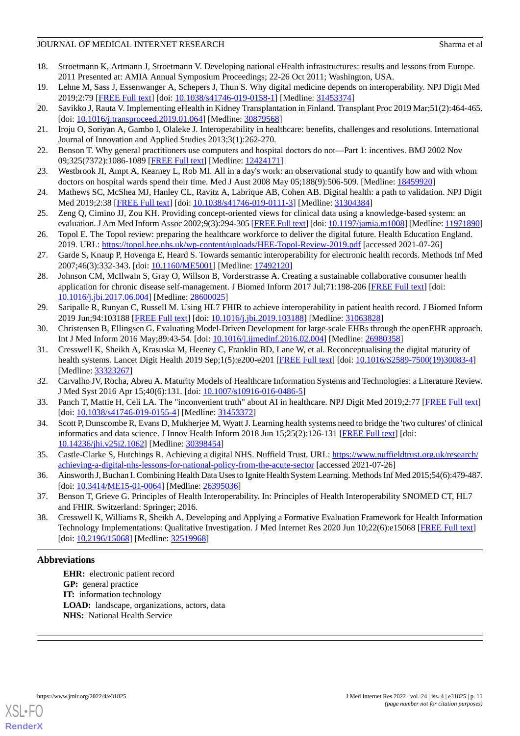## JOURNAL OF MEDICAL INTERNET RESEARCH Sharma et al

- <span id="page-10-0"></span>18. Stroetmann K, Artmann J, Stroetmann V. Developing national eHealth infrastructures: results and lessons from Europe. 2011 Presented at: AMIA Annual Symposium Proceedings; 22-26 Oct 2011; Washington, USA.
- <span id="page-10-2"></span><span id="page-10-1"></span>19. Lehne M, Sass J, Essenwanger A, Schepers J, Thun S. Why digital medicine depends on interoperability. NPJ Digit Med 2019;2:79 [[FREE Full text](https://doi.org/10.1038/s41746-019-0158-1)] [doi: [10.1038/s41746-019-0158-1\]](http://dx.doi.org/10.1038/s41746-019-0158-1) [Medline: [31453374](http://www.ncbi.nlm.nih.gov/entrez/query.fcgi?cmd=Retrieve&db=PubMed&list_uids=31453374&dopt=Abstract)]
- <span id="page-10-3"></span>20. Savikko J, Rauta V. Implementing eHealth in Kidney Transplantation in Finland. Transplant Proc 2019 Mar;51(2):464-465. [doi: [10.1016/j.transproceed.2019.01.064](http://dx.doi.org/10.1016/j.transproceed.2019.01.064)] [Medline: [30879568\]](http://www.ncbi.nlm.nih.gov/entrez/query.fcgi?cmd=Retrieve&db=PubMed&list_uids=30879568&dopt=Abstract)
- <span id="page-10-4"></span>21. Iroju O, Soriyan A, Gambo I, Olaleke J. Interoperability in healthcare: benefits, challenges and resolutions. International Journal of Innovation and Applied Studies 2013;3(1):262-270.
- <span id="page-10-5"></span>22. Benson T. Why general practitioners use computers and hospital doctors do not—Part 1: incentives. BMJ 2002 Nov 09;325(7372):1086-1089 [[FREE Full text](http://europepmc.org/abstract/MED/12424171)] [Medline: [12424171](http://www.ncbi.nlm.nih.gov/entrez/query.fcgi?cmd=Retrieve&db=PubMed&list_uids=12424171&dopt=Abstract)]
- <span id="page-10-6"></span>23. Westbrook JI, Ampt A, Kearney L, Rob MI. All in a day's work: an observational study to quantify how and with whom doctors on hospital wards spend their time. Med J Aust 2008 May 05;188(9):506-509. [Medline: [18459920](http://www.ncbi.nlm.nih.gov/entrez/query.fcgi?cmd=Retrieve&db=PubMed&list_uids=18459920&dopt=Abstract)]
- <span id="page-10-7"></span>24. Mathews SC, McShea MJ, Hanley CL, Ravitz A, Labrique AB, Cohen AB. Digital health: a path to validation. NPJ Digit Med 2019;2:38 [[FREE Full text](http://europepmc.org/abstract/MED/31304384)] [doi: [10.1038/s41746-019-0111-3\]](http://dx.doi.org/10.1038/s41746-019-0111-3) [Medline: [31304384](http://www.ncbi.nlm.nih.gov/entrez/query.fcgi?cmd=Retrieve&db=PubMed&list_uids=31304384&dopt=Abstract)]
- <span id="page-10-8"></span>25. Zeng Q, Cimino JJ, Zou KH. Providing concept-oriented views for clinical data using a knowledge-based system: an evaluation. J Am Med Inform Assoc 2002;9(3):294-305 [\[FREE Full text](http://europepmc.org/abstract/MED/11971890)] [doi: [10.1197/jamia.m1008](http://dx.doi.org/10.1197/jamia.m1008)] [Medline: [11971890\]](http://www.ncbi.nlm.nih.gov/entrez/query.fcgi?cmd=Retrieve&db=PubMed&list_uids=11971890&dopt=Abstract)
- <span id="page-10-9"></span>26. Topol E. The Topol review: preparing the healthcare workforce to deliver the digital future. Health Education England. 2019. URL: <https://topol.hee.nhs.uk/wp-content/uploads/HEE-Topol-Review-2019.pdf> [accessed 2021-07-26]
- <span id="page-10-10"></span>27. Garde S, Knaup P, Hovenga E, Heard S. Towards semantic interoperability for electronic health records. Methods Inf Med 2007;46(3):332-343. [doi: [10.1160/ME5001\]](http://dx.doi.org/10.1160/ME5001) [Medline: [17492120\]](http://www.ncbi.nlm.nih.gov/entrez/query.fcgi?cmd=Retrieve&db=PubMed&list_uids=17492120&dopt=Abstract)
- <span id="page-10-11"></span>28. Johnson CM, McIlwain S, Gray O, Willson B, Vorderstrasse A. Creating a sustainable collaborative consumer health application for chronic disease self-management. J Biomed Inform 2017 Jul;71:198-206 [\[FREE Full text\]](https://linkinghub.elsevier.com/retrieve/pii/S1532-0464(17)30127-2) [doi: [10.1016/j.jbi.2017.06.004](http://dx.doi.org/10.1016/j.jbi.2017.06.004)] [Medline: [28600025\]](http://www.ncbi.nlm.nih.gov/entrez/query.fcgi?cmd=Retrieve&db=PubMed&list_uids=28600025&dopt=Abstract)
- <span id="page-10-13"></span><span id="page-10-12"></span>29. Saripalle R, Runyan C, Russell M. Using HL7 FHIR to achieve interoperability in patient health record. J Biomed Inform 2019 Jun;94:103188 [\[FREE Full text\]](https://linkinghub.elsevier.com/retrieve/pii/S1532-0464(19)30106-6) [doi: [10.1016/j.jbi.2019.103188](http://dx.doi.org/10.1016/j.jbi.2019.103188)] [Medline: [31063828\]](http://www.ncbi.nlm.nih.gov/entrez/query.fcgi?cmd=Retrieve&db=PubMed&list_uids=31063828&dopt=Abstract)
- 30. Christensen B, Ellingsen G. Evaluating Model-Driven Development for large-scale EHRs through the openEHR approach. Int J Med Inform 2016 May;89:43-54. [doi: [10.1016/j.ijmedinf.2016.02.004\]](http://dx.doi.org/10.1016/j.ijmedinf.2016.02.004) [Medline: [26980358](http://www.ncbi.nlm.nih.gov/entrez/query.fcgi?cmd=Retrieve&db=PubMed&list_uids=26980358&dopt=Abstract)]
- <span id="page-10-15"></span><span id="page-10-14"></span>31. Cresswell K, Sheikh A, Krasuska M, Heeney C, Franklin BD, Lane W, et al. Reconceptualising the digital maturity of health systems. Lancet Digit Health 2019 Sep;1(5):e200-e201 [[FREE Full text](https://linkinghub.elsevier.com/retrieve/pii/S2589-7500(19)30083-4)] [doi: [10.1016/S2589-7500\(19\)30083-4\]](http://dx.doi.org/10.1016/S2589-7500(19)30083-4) [Medline: [33323267](http://www.ncbi.nlm.nih.gov/entrez/query.fcgi?cmd=Retrieve&db=PubMed&list_uids=33323267&dopt=Abstract)]
- <span id="page-10-16"></span>32. Carvalho JV, Rocha, Abreu A. Maturity Models of Healthcare Information Systems and Technologies: a Literature Review. J Med Syst 2016 Apr 15;40(6):131. [doi: [10.1007/s10916-016-0486-5\]](http://dx.doi.org/10.1007/s10916-016-0486-5)
- <span id="page-10-17"></span>33. Panch T, Mattie H, Celi LA. The "inconvenient truth" about AI in healthcare. NPJ Digit Med 2019;2:77 [[FREE Full text](http://europepmc.org/abstract/MED/31453372)] [doi: [10.1038/s41746-019-0155-4](http://dx.doi.org/10.1038/s41746-019-0155-4)] [Medline: [31453372\]](http://www.ncbi.nlm.nih.gov/entrez/query.fcgi?cmd=Retrieve&db=PubMed&list_uids=31453372&dopt=Abstract)
- <span id="page-10-18"></span>34. Scott P, Dunscombe R, Evans D, Mukherjee M, Wyatt J. Learning health systems need to bridge the 'two cultures' of clinical informatics and data science. J Innov Health Inform 2018 Jun 15;25(2):126-131 [[FREE Full text](http://dx.doi.org/10.14236/jhi.v25i2.1062)] [doi: [10.14236/jhi.v25i2.1062](http://dx.doi.org/10.14236/jhi.v25i2.1062)] [Medline: [30398454\]](http://www.ncbi.nlm.nih.gov/entrez/query.fcgi?cmd=Retrieve&db=PubMed&list_uids=30398454&dopt=Abstract)
- <span id="page-10-19"></span>35. Castle-Clarke S, Hutchings R. Achieving a digital NHS. Nuffield Trust. URL: [https://www.nuffieldtrust.org.uk/research/](https://www.nuffieldtrust.org.uk/research/achieving-a-digital-nhs-lessons-for-national-policy-from-the-acute-sector) [achieving-a-digital-nhs-lessons-for-national-policy-from-the-acute-sector](https://www.nuffieldtrust.org.uk/research/achieving-a-digital-nhs-lessons-for-national-policy-from-the-acute-sector) [accessed 2021-07-26]
- <span id="page-10-20"></span>36. Ainsworth J, Buchan I. Combining Health Data Uses to Ignite Health System Learning. Methods Inf Med 2015;54(6):479-487. [doi: [10.3414/ME15-01-0064\]](http://dx.doi.org/10.3414/ME15-01-0064) [Medline: [26395036\]](http://www.ncbi.nlm.nih.gov/entrez/query.fcgi?cmd=Retrieve&db=PubMed&list_uids=26395036&dopt=Abstract)
- 37. Benson T, Grieve G. Principles of Health Interoperability. In: Principles of Health Interoperability SNOMED CT, HL7 and FHIR. Switzerland: Springer; 2016.
- 38. Cresswell K, Williams R, Sheikh A. Developing and Applying a Formative Evaluation Framework for Health Information Technology Implementations: Qualitative Investigation. J Med Internet Res 2020 Jun 10;22(6):e15068 [[FREE Full text\]](https://www.jmir.org/2020/6/e15068/) [doi: [10.2196/15068](http://dx.doi.org/10.2196/15068)] [Medline: [32519968\]](http://www.ncbi.nlm.nih.gov/entrez/query.fcgi?cmd=Retrieve&db=PubMed&list_uids=32519968&dopt=Abstract)

## **Abbreviations**

**EHR:** electronic patient record **GP:** general practice **IT:** information technology **LOAD:** landscape, organizations, actors, data **NHS:** National Health Service